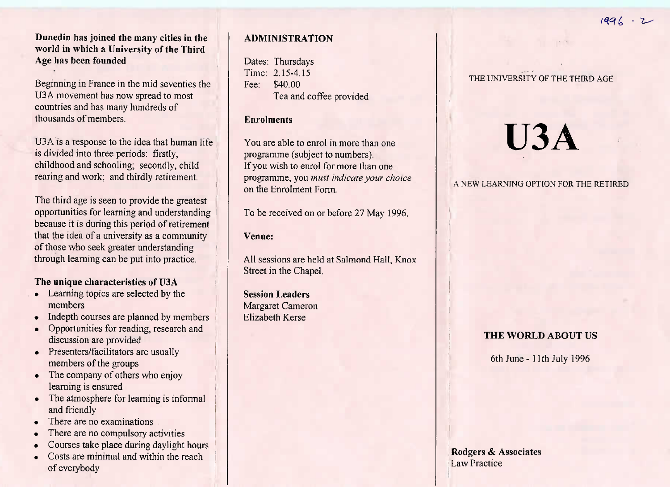**Dunedin has joined the many cities in the world in which a University of the ThirdAge has been founded**

Beginning in France in the mid seventies theU3A movement has now spread to most countries and has many hundreds ofthousands of members.

U3A is a response to the idea that human lifeis divided into three periods: firstly, childhood and schooling; secondly, childrearing and work; and thirdly retirement.

The third age is seen to provide the greatest opportunities for learning and understanding because it is during this period of retirement that the idea of a university as a communityof those who seek greater understandingthrough learning can be put into practice.

#### **The unique characteristics of U3A**

- Learning topics are selected by themembers
- Indepth courses are planned by members
- Opportunities for reading, research anddiscussion are provided
- **Presenters/facilitators are usually** members of the groups
- The company of others who enjoy learning is ensured
- The atmosphere for learning is informal and friendly
- I nere are no examinations
- There are no compulsory activities
- Courses take place during daylight hours
- Costs are minimal and within the reachof everybody

# **ADMINISTRATION**

Dates: Thursdays Time: 2.15-4.15Fee: \$40.00Tea and coffee provided

# **Enrolments**

You are able to enrol in more than oneprogramme (subject to numbers). If you wish to enrol for more than one programme, you *must indicate your choice*on the Enrolment Form.

To be received on or before 27 May 1996.

#### **Venue:**

All sessions are held at Salmond Hall, KnoxStreet in the Chapel.

**Session Leaders** Margaret CameronElizabeth Kerse

## **THE** UNIVERSITY **OF THE THIRD AGE**

# **U3A**

**A NEW LEARNING OPTION FOR THE RETIRED**

# **THE WORLD ABOUT** US

6th June - 11th July 1996

**Rodgers** & AssociatesLaw Practice